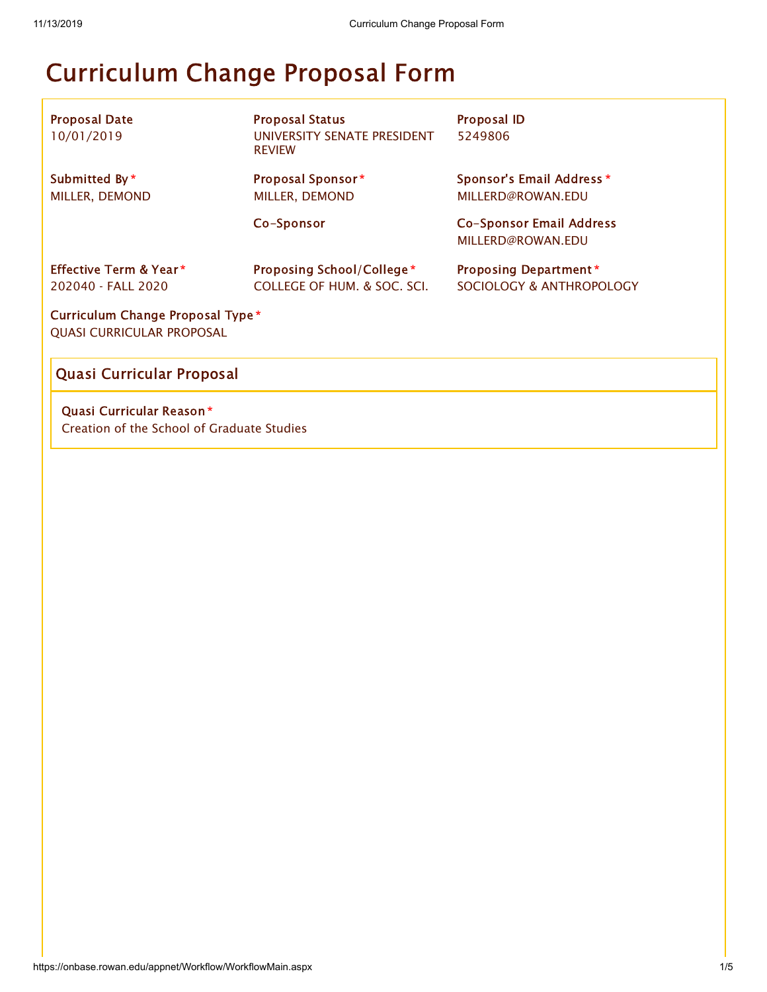# Curriculum Change Proposal Form

| <b>Proposal Date</b><br>10/01/2019                                    | <b>Proposal Status</b><br>UNIVERSITY SENATE PRESIDENT<br><b>REVIEW</b> | <b>Proposal ID</b><br>5249806                            |  |  |  |  |  |
|-----------------------------------------------------------------------|------------------------------------------------------------------------|----------------------------------------------------------|--|--|--|--|--|
| Submitted By*<br>MILLER, DEMOND                                       | Proposal Sponsor*<br>MILLER, DEMOND                                    | Sponsor's Email Address *<br>MILLERD@ROWAN.EDU           |  |  |  |  |  |
|                                                                       | Co-Sponsor                                                             | Co-Sponsor Email Address<br>MILLERD@ROWAN.EDU            |  |  |  |  |  |
| <b>Effective Term &amp; Year *</b><br>202040 - FALL 2020              | Proposing School/College*<br>COLLEGE OF HUM. & SOC. SCI.               | <b>Proposing Department*</b><br>SOCIOLOGY & ANTHROPOLOGY |  |  |  |  |  |
| Curriculum Change Proposal Type *<br><b>QUASI CURRICULAR PROPOSAL</b> |                                                                        |                                                          |  |  |  |  |  |

# Quasi Curricular Proposal

Quasi Curricular Reason \* Creation of the School of Graduate Studies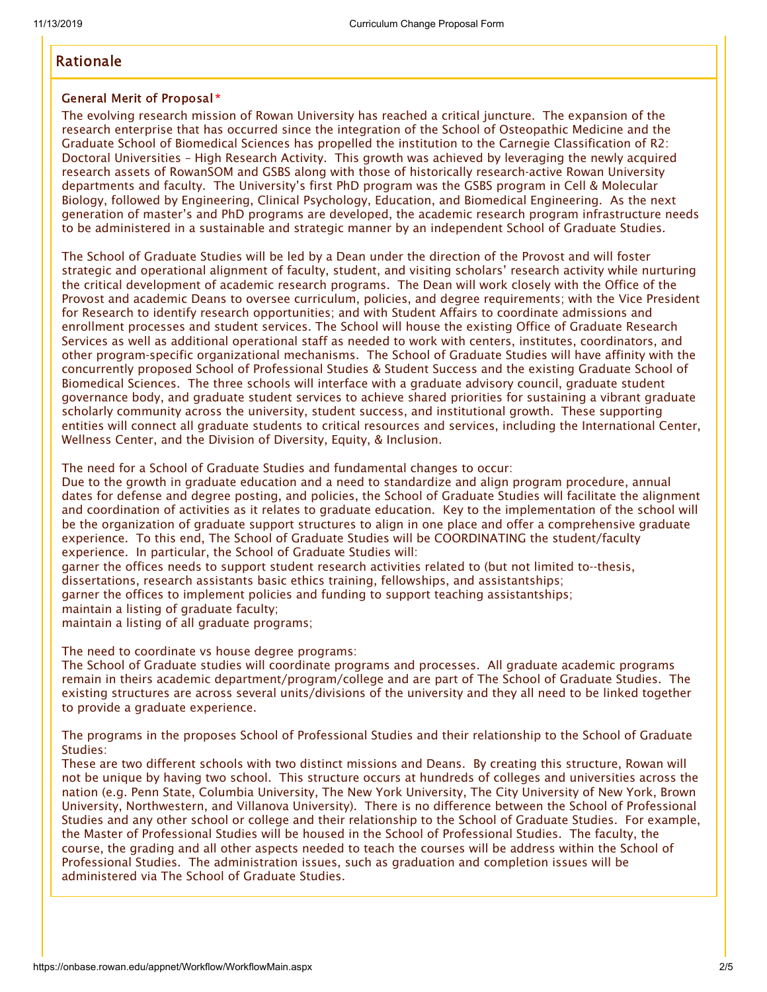## Rationale

#### General Merit of Proposal \*

The evolving research mission of Rowan University has reached a critical juncture. The expansion of the research enterprise that has occurred since the integration of the School of Osteopathic Medicine and the Graduate School of Biomedical Sciences has propelled the institution to the Carnegie Classification of R2: Doctoral Universities – High Research Activity. This growth was achieved by leveraging the newly acquired research assets of RowanSOM and GSBS along with those of historically research-active Rowan University departments and faculty. The University's first PhD program was the GSBS program in Cell & Molecular Biology, followed by Engineering, Clinical Psychology, Education, and Biomedical Engineering. As the next generation of master's and PhD programs are developed, the academic research program infrastructure needs to be administered in a sustainable and strategic manner by an independent School of Graduate Studies.

The School of Graduate Studies will be led by a Dean under the direction of the Provost and will foster strategic and operational alignment of faculty, student, and visiting scholars' research activity while nurturing the critical development of academic research programs. The Dean will work closely with the Office of the Provost and academic Deans to oversee curriculum, policies, and degree requirements; with the Vice President for Research to identify research opportunities; and with Student Affairs to coordinate admissions and enrollment processes and student services. The School will house the existing Office of Graduate Research Services as well as additional operational staff as needed to work with centers, institutes, coordinators, and other program-specific organizational mechanisms. The School of Graduate Studies will have affinity with the concurrently proposed School of Professional Studies & Student Success and the existing Graduate School of Biomedical Sciences. The three schools will interface with a graduate advisory council, graduate student governance body, and graduate student services to achieve shared priorities for sustaining a vibrant graduate scholarly community across the university, student success, and institutional growth. These supporting entities will connect all graduate students to critical resources and services, including the International Center, Wellness Center, and the Division of Diversity, Equity, & Inclusion.

The need for a School of Graduate Studies and fundamental changes to occur:

Due to the growth in graduate education and a need to standardize and align program procedure, annual dates for defense and degree posting, and policies, the School of Graduate Studies will facilitate the alignment and coordination of activities as it relates to graduate education. Key to the implementation of the school will be the organization of graduate support structures to align in one place and offer a comprehensive graduate experience. To this end, The School of Graduate Studies will be COORDINATING the student/faculty experience. In particular, the School of Graduate Studies will:

garner the offices needs to support student research activities related to (but not limited to--thesis, dissertations, research assistants basic ethics training, fellowships, and assistantships;

garner the offices to implement policies and funding to support teaching assistantships;

maintain a listing of graduate faculty;

maintain a listing of all graduate programs;

The need to coordinate vs house degree programs:

The School of Graduate studies will coordinate programs and processes. All graduate academic programs remain in theirs academic department/program/college and are part of The School of Graduate Studies. The existing structures are across several units/divisions of the university and they all need to be linked together to provide a graduate experience.

The programs in the proposes School of Professional Studies and their relationship to the School of Graduate Studies:

These are two different schools with two distinct missions and Deans. By creating this structure, Rowan will not be unique by having two school. This structure occurs at hundreds of colleges and universities across the nation (e.g. Penn State, Columbia University, The New York University, The City University of New York, Brown University, Northwestern, and Villanova University). There is no difference between the School of Professional Studies and any other school or college and their relationship to the School of Graduate Studies. For example, the Master of Professional Studies will be housed in the School of Professional Studies. The faculty, the course, the grading and all other aspects needed to teach the courses will be address within the School of Professional Studies. The administration issues, such as graduation and completion issues will be administered via The School of Graduate Studies.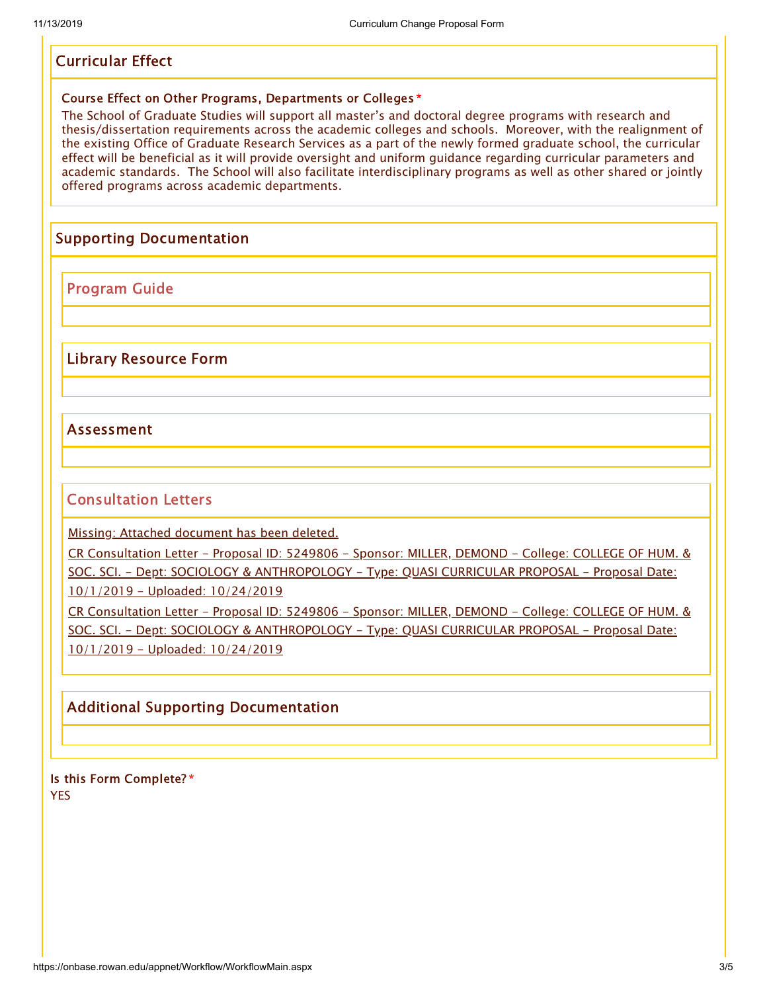## Curricular Effect

#### Course Effect on Other Programs, Departments or Colleges \*

The School of Graduate Studies will support all master's and doctoral degree programs with research and thesis/dissertation requirements across the academic colleges and schools. Moreover, with the realignment of the existing Office of Graduate Research Services as a part of the newly formed graduate school, the curricular effect will be beneficial as it will provide oversight and uniform guidance regarding curricular parameters and academic standards. The School will also facilitate interdisciplinary programs as well as other shared or jointly offered programs across academic departments.

## Supporting Documentation

Program Guide

Library Resource Form

### Assessment

### Consultation Letters

Missing: Attached [document](javascript:;) has been deleted.

CR Consultation Letter - Proposal ID: 5249806 - Sponsor: MILLER, DEMOND - College: COLLEGE OF HUM. & SOC. SCI. - Dept: SOCIOLOGY & [ANTHROPOLOGY](javascript:displayDocument(5268698);) - Type: QUASI CURRICULAR PROPOSAL - Proposal Date: 10/1/2019 - Uploaded: 10/24/2019

CR Consultation Letter - Proposal ID: 5249806 - Sponsor: MILLER, DEMOND - College: COLLEGE OF HUM. & SOC. SCI. - Dept: SOCIOLOGY & [ANTHROPOLOGY](javascript:displayDocument(5268699);) - Type: QUASI CURRICULAR PROPOSAL - Proposal Date: 10/1/2019 - Uploaded: 10/24/2019

## Additional Supporting Documentation

Is this Form Complete? \* YES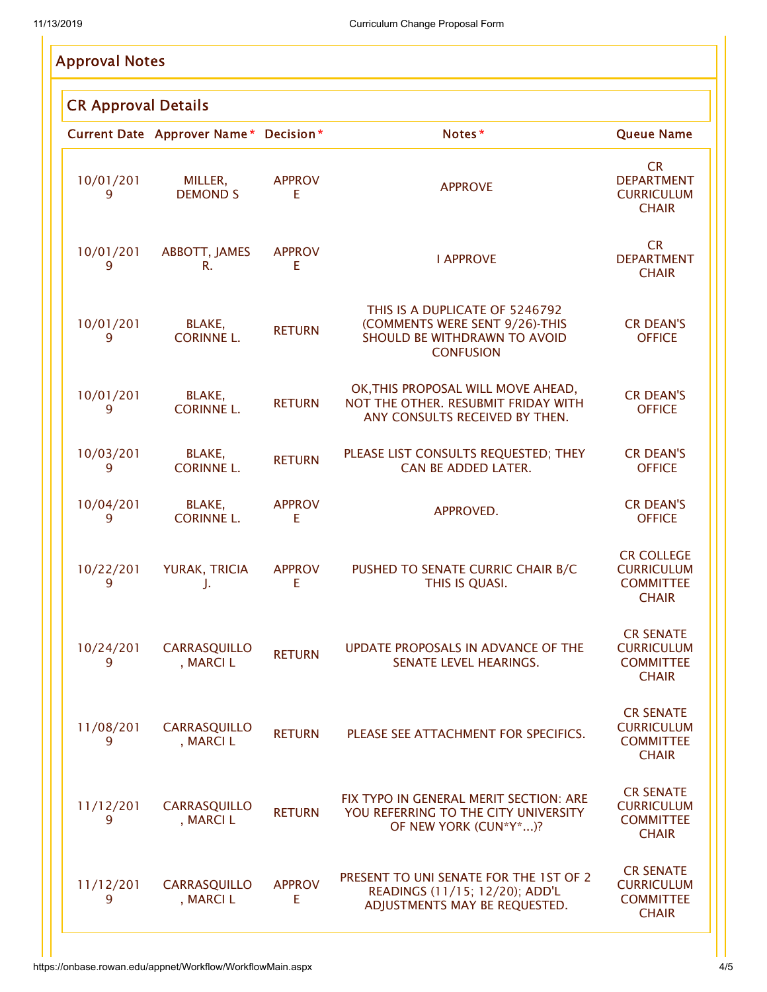|                            | <b>Approval Notes</b> |                                       |                     |                                                                                                                      |                                                                            |  |  |
|----------------------------|-----------------------|---------------------------------------|---------------------|----------------------------------------------------------------------------------------------------------------------|----------------------------------------------------------------------------|--|--|
| <b>CR Approval Details</b> |                       |                                       |                     |                                                                                                                      |                                                                            |  |  |
|                            |                       | Current Date Approver Name* Decision* |                     | Notes*                                                                                                               | <b>Queue Name</b>                                                          |  |  |
|                            | 10/01/201<br>9        | MILLER,<br><b>DEMOND S</b>            | <b>APPROV</b><br>E  | <b>APPROVE</b>                                                                                                       | <b>CR</b><br><b>DEPARTMENT</b><br><b>CURRICULUM</b><br><b>CHAIR</b>        |  |  |
|                            | 10/01/201<br>9        | ABBOTT, JAMES<br>R.                   | <b>APPROV</b><br>E  | <b>I APPROVE</b>                                                                                                     | <b>CR</b><br><b>DEPARTMENT</b><br><b>CHAIR</b>                             |  |  |
|                            | 10/01/201<br>9        | BLAKE,<br><b>CORINNE L.</b>           | <b>RETURN</b>       | THIS IS A DUPLICATE OF 5246792<br>(COMMENTS WERE SENT 9/26)-THIS<br>SHOULD BE WITHDRAWN TO AVOID<br><b>CONFUSION</b> | <b>CR DEAN'S</b><br><b>OFFICE</b>                                          |  |  |
|                            | 10/01/201<br>9        | BLAKE,<br><b>CORINNE L.</b>           | <b>RETURN</b>       | OK, THIS PROPOSAL WILL MOVE AHEAD,<br>NOT THE OTHER. RESUBMIT FRIDAY WITH<br>ANY CONSULTS RECEIVED BY THEN.          | <b>CR DEAN'S</b><br><b>OFFICE</b>                                          |  |  |
|                            | 10/03/201<br>9        | BLAKE,<br><b>CORINNE L.</b>           | <b>RETURN</b>       | PLEASE LIST CONSULTS REQUESTED; THEY<br>CAN BE ADDED LATER.                                                          | <b>CR DEAN'S</b><br><b>OFFICE</b>                                          |  |  |
|                            | 10/04/201<br>9        | BLAKE,<br><b>CORINNE L.</b>           | <b>APPROV</b><br>E  | APPROVED.                                                                                                            | <b>CR DEAN'S</b><br><b>OFFICE</b>                                          |  |  |
|                            | 10/22/201<br>9        | YURAK, TRICIA<br>J.                   | <b>APPROV</b><br>E  | PUSHED TO SENATE CURRIC CHAIR B/C<br>THIS IS QUASI.                                                                  | <b>CR COLLEGE</b><br><b>CURRICULUM</b><br><b>COMMITTEE</b><br><b>CHAIR</b> |  |  |
|                            | 10/24/201<br>9        | <b>CARRASQUILLO</b><br>, MARCI L      | <b>RETURN</b>       | UPDATE PROPOSALS IN ADVANCE OF THE<br>SENATE LEVEL HEARINGS.                                                         | <b>CR SENATE</b><br><b>CURRICULUM</b><br><b>COMMITTEE</b><br><b>CHAIR</b>  |  |  |
|                            | 11/08/201<br>9        | CARRASQUILLO<br>, MARCI L             | <b>RETURN</b>       | PLEASE SEE ATTACHMENT FOR SPECIFICS.                                                                                 | <b>CR SENATE</b><br><b>CURRICULUM</b><br><b>COMMITTEE</b><br><b>CHAIR</b>  |  |  |
|                            | 11/12/201<br>9        | <b>CARRASQUILLO</b><br>, MARCI L      | <b>RETURN</b>       | FIX TYPO IN GENERAL MERIT SECTION: ARE<br>YOU REFERRING TO THE CITY UNIVERSITY<br>OF NEW YORK (CUN*Y*)?              | <b>CR SENATE</b><br><b>CURRICULUM</b><br><b>COMMITTEE</b><br><b>CHAIR</b>  |  |  |
|                            | 11/12/201<br>9        | <b>CARRASQUILLO</b><br>, MARCI L      | <b>APPROV</b><br>E. | PRESENT TO UNI SENATE FOR THE 1ST OF 2<br>READINGS (11/15; 12/20); ADD'L<br>ADJUSTMENTS MAY BE REQUESTED.            | <b>CR SENATE</b><br><b>CURRICULUM</b><br><b>COMMITTEE</b><br><b>CHAIR</b>  |  |  |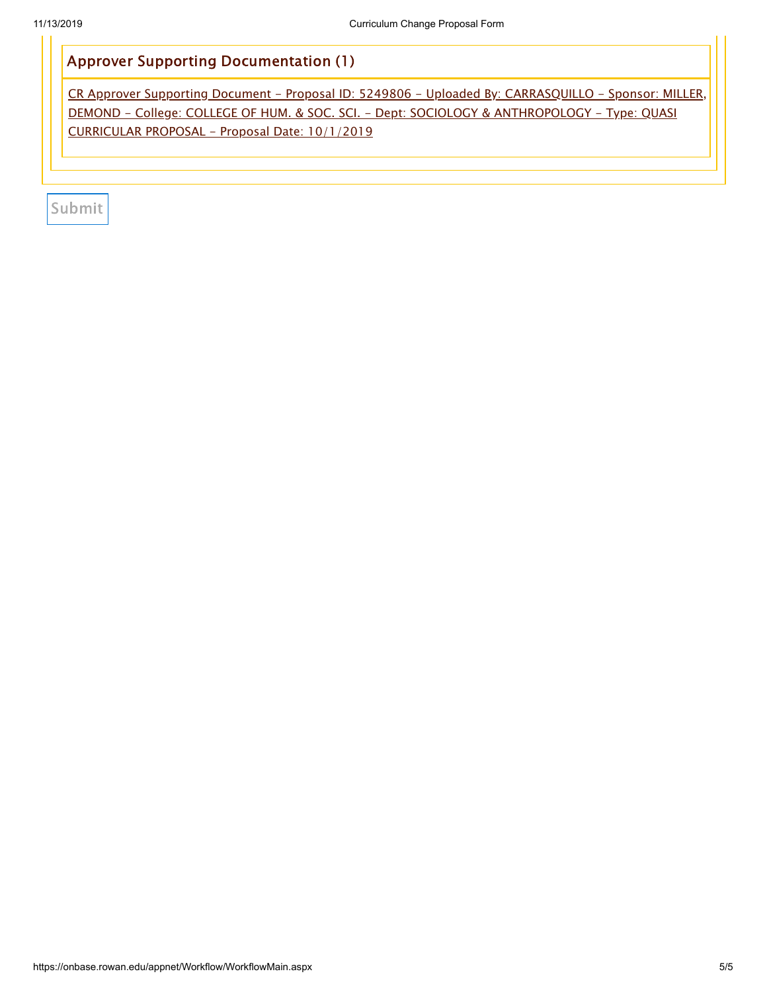# Approver Supporting Documentation (1)

CR Approver Supporting Document - Proposal ID: 5249806 - Uploaded By: CARRASQUILLO - Sponsor: MILLER, DEMOND - College: COLLEGE OF HUM. & SOC. SCI. - Dept: SOCIOLOGY & [ANTHROPOLOGY](javascript:displayDocument(5280332);) - Type: QUASI CURRICULAR PROPOSAL - Proposal Date: 10/1/2019

Submit